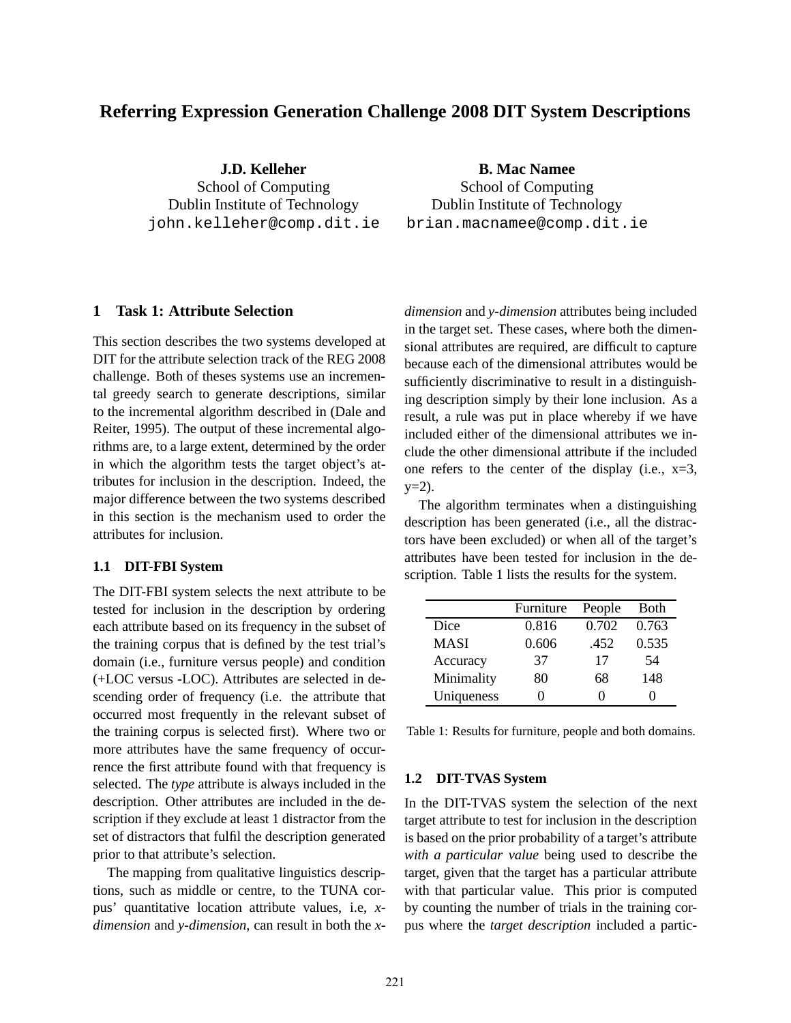# **Referring Expression Generation Challenge 2008 DIT System Descriptions**

**J.D. Kelleher** School of Computing Dublin Institute of Technology john.kelleher@comp.dit.ie **B. Mac Namee**

School of Computing Dublin Institute of Technology brian.macnamee@comp.dit.ie

# **1 Task 1: Attribute Selection**

This section describes the two systems developed at DIT for the attribute selection track of the REG 2008 challenge. Both of theses systems use an incremental greedy search to generate descriptions, similar to the incremental algorithm described in (Dale and Reiter, 1995). The output of these incremental algorithms are, to a large extent, determined by the order in which the algorithm tests the target object's attributes for inclusion in the description. Indeed, the major difference between the two systems described in this section is the mechanism used to order the attributes for inclusion.

# **1.1 DIT-FBI System**

The DIT-FBI system selects the next attribute to be tested for inclusion in the description by ordering each attribute based on its frequency in the subset of the training corpus that is defined by the test trial's domain (i.e., furniture versus people) and condition (+LOC versus -LOC). Attributes are selected in descending order of frequency (i.e. the attribute that occurred most frequently in the relevant subset of the training corpus is selected first). Where two or more attributes have the same frequency of occurrence the first attribute found with that frequency is selected. The *type* attribute is always included in the description. Other attributes are included in the description if they exclude at least 1 distractor from the set of distractors that fulfil the description generated prior to that attribute's selection.

The mapping from qualitative linguistics descriptions, such as middle or centre, to the TUNA corpus' quantitative location attribute values, i.e, *xdimension* and *y-dimension*, can result in both the *x-* *dimension* and *y-dimension* attributes being included in the target set. These cases, where both the dimensional attributes are required, are difficult to capture because each of the dimensional attributes would be sufficiently discriminative to result in a distinguishing description simply by their lone inclusion. As a result, a rule was put in place whereby if we have included either of the dimensional attributes we include the other dimensional attribute if the included one refers to the center of the display (i.e.,  $x=3$ ,  $y=2$ ).

The algorithm terminates when a distinguishing description has been generated (i.e., all the distractors have been excluded) or when all of the target's attributes have been tested for inclusion in the description. Table 1 lists the results for the system.

|             | Furniture | People | Both  |
|-------------|-----------|--------|-------|
| Dice        | 0.816     | 0.702  | 0.763 |
| <b>MASI</b> | 0.606     | .452   | 0.535 |
| Accuracy    | 37        | 17     | 54    |
| Minimality  | 80        | 68     | 148   |
| Uniqueness  |           |        |       |

Table 1: Results for furniture, people and both domains.

### **1.2 DIT-TVAS System**

In the DIT-TVAS system the selection of the next target attribute to test for inclusion in the description is based on the prior probability of a target's attribute *with a particular value* being used to describe the target, given that the target has a particular attribute with that particular value. This prior is computed by counting the number of trials in the training corpus where the *target description* included a partic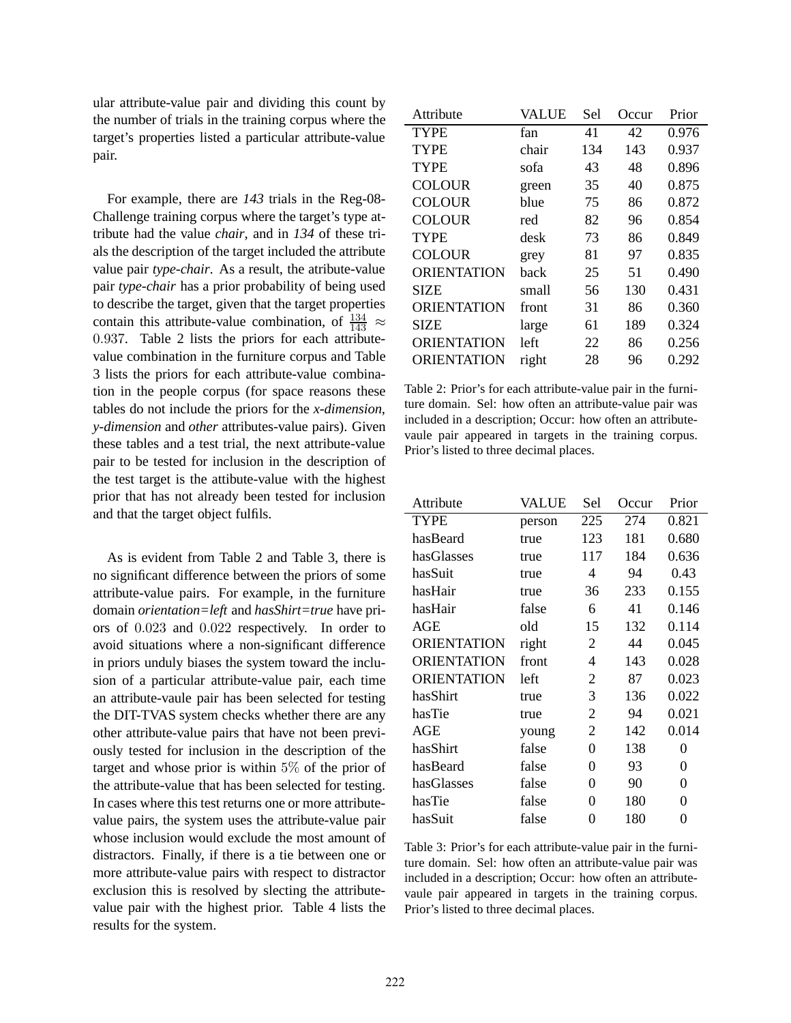ular attribute-value pair and dividing this count by the number of trials in the training corpus where the target's properties listed a particular attribute-value pair.

For example, there are *143* trials in the Reg-08- Challenge training corpus where the target's type attribute had the value *chair*, and in *134* of these trials the description of the target included the attribute value pair *type-chair*. As a result, the atribute-value pair *type-chair* has a prior probability of being used to describe the target, given that the target properties contain this attribute-value combination, of  $\frac{134}{143} \approx$ 0.937. Table 2 lists the priors for each attributevalue combination in the furniture corpus and Table 3 lists the priors for each attribute-value combination in the people corpus (for space reasons these tables do not include the priors for the *x-dimension*, *y-dimension* and *other* attributes-value pairs). Given these tables and a test trial, the next attribute-value pair to be tested for inclusion in the description of the test target is the attibute-value with the highest prior that has not already been tested for inclusion and that the target object fulfils.

As is evident from Table 2 and Table 3, there is no significant difference between the priors of some attribute-value pairs. For example, in the furniture domain *orientation=left* and *hasShirt=true* have priors of 0.023 and 0.022 respectively. In order to avoid situations where a non-significant difference in priors unduly biases the system toward the inclusion of a particular attribute-value pair, each time an attribute-vaule pair has been selected for testing the DIT-TVAS system checks whether there are any other attribute-value pairs that have not been previously tested for inclusion in the description of the target and whose prior is within  $5\%$  of the prior of the attribute-value that has been selected for testing. In cases where this test returns one or more attributevalue pairs, the system uses the attribute-value pair whose inclusion would exclude the most amount of distractors. Finally, if there is a tie between one or more attribute-value pairs with respect to distractor exclusion this is resolved by slecting the attributevalue pair with the highest prior. Table 4 lists the results for the system.

| Attribute          | VALUE | Sel | Occur | Prior |
|--------------------|-------|-----|-------|-------|
| <b>TYPE</b>        | fan   | 41  | 42    | 0.976 |
| <b>TYPE</b>        | chair | 134 | 143   | 0.937 |
| <b>TYPE</b>        | sofa  | 43  | 48    | 0.896 |
| <b>COLOUR</b>      | green | 35  | 40    | 0.875 |
| <b>COLOUR</b>      | blue  | 75  | 86    | 0.872 |
| <b>COLOUR</b>      | red   | 82  | 96    | 0.854 |
| <b>TYPE</b>        | desk  | 73  | 86    | 0.849 |
| <b>COLOUR</b>      | grey  | 81  | 97    | 0.835 |
| <b>ORIENTATION</b> | back  | 25  | 51    | 0.490 |
| <b>SIZE</b>        | small | 56  | 130   | 0.431 |
| <b>ORIENTATION</b> | front | 31  | 86    | 0.360 |
| <b>SIZE</b>        | large | 61  | 189   | 0.324 |
| <b>ORIENTATION</b> | left  | 22  | 86    | 0.256 |
| <b>ORIENTATION</b> | right | 28  | 96    | 0.292 |
|                    |       |     |       |       |

Table 2: Prior's for each attribute-value pair in the furniture domain. Sel: how often an attribute-value pair was included in a description; Occur: how often an attributevaule pair appeared in targets in the training corpus. Prior's listed to three decimal places.

| Attribute          | VALUE  | Sel | Occur | Prior    |
|--------------------|--------|-----|-------|----------|
| <b>TYPE</b>        | person | 225 | 274   | 0.821    |
| hasBeard           | true   | 123 | 181   | 0.680    |
| hasGlasses         | true   | 117 | 184   | 0.636    |
| hasSuit            | true   | 4   | 94    | 0.43     |
| hasHair            | true   | 36  | 233   | 0.155    |
| hasHair            | false  | 6   | 41    | 0.146    |
| AGE                | old    | 15  | 132   | 0.114    |
| ORIENTATION        | right  | 2   | 44    | 0.045    |
| <b>ORIENTATION</b> | front  | 4   | 143   | 0.028    |
| <b>ORIENTATION</b> | left   | 2   | 87    | 0.023    |
| hasShirt           | true   | 3   | 136   | 0.022    |
| hasTie             | true   | 2   | 94    | 0.021    |
| AGE                | young  | 2   | 142   | 0.014    |
| hasShirt           | false  | 0   | 138   | $\theta$ |
| hasBeard           | false  | 0   | 93    | 0        |
| hasGlasses         | false  | 0   | 90    | 0        |
| hasTie             | false  | 0   | 180   | 0        |
| hasSuit            | false  | 0   | 180   | 0        |

Table 3: Prior's for each attribute-value pair in the furniture domain. Sel: how often an attribute-value pair was included in a description; Occur: how often an attributevaule pair appeared in targets in the training corpus. Prior's listed to three decimal places.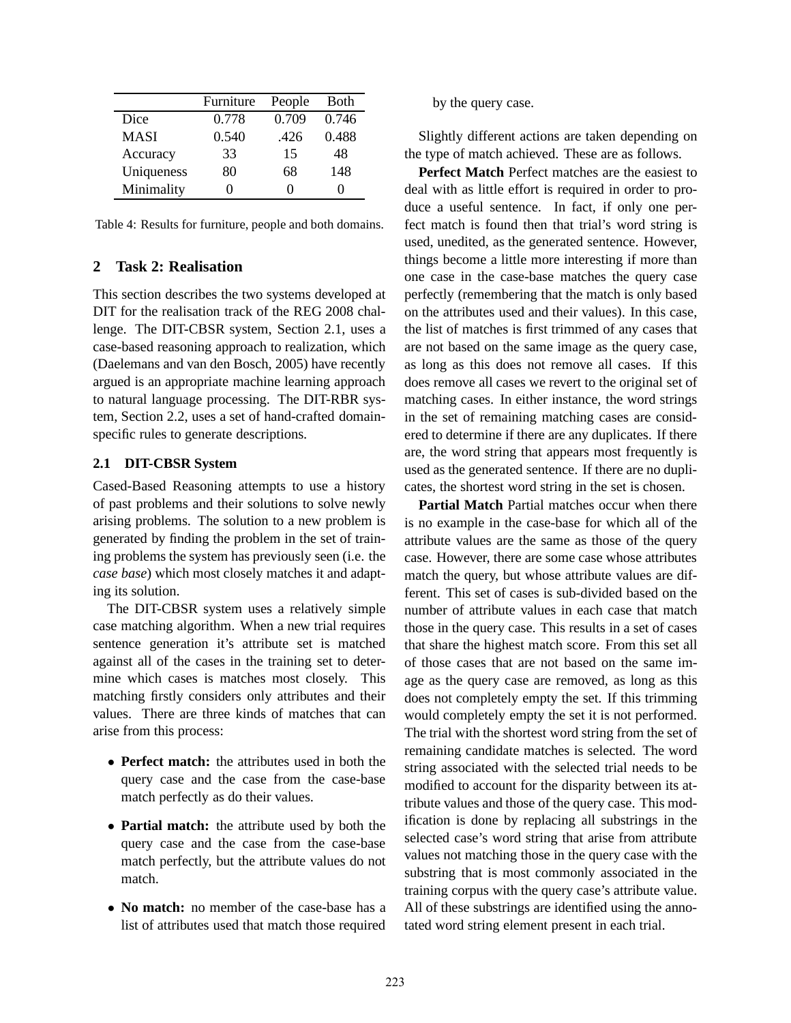|             | Furniture | People | Both  |
|-------------|-----------|--------|-------|
| Dice        | 0.778     | 0.709  | 0.746 |
| <b>MASI</b> | 0.540     | .426   | 0.488 |
| Accuracy    | 33        | 15     | 48    |
| Uniqueness  | 80        | 68     | 148   |
| Minimality  |           | 0      |       |

Table 4: Results for furniture, people and both domains.

# **2 Task 2: Realisation**

This section describes the two systems developed at DIT for the realisation track of the REG 2008 challenge. The DIT-CBSR system, Section 2.1, uses a case-based reasoning approach to realization, which (Daelemans and van den Bosch, 2005) have recently argued is an appropriate machine learning approach to natural language processing. The DIT-RBR system, Section 2.2, uses a set of hand-crafted domainspecific rules to generate descriptions.

### **2.1 DIT-CBSR System**

Cased-Based Reasoning attempts to use a history of past problems and their solutions to solve newly arising problems. The solution to a new problem is generated by finding the problem in the set of training problems the system has previously seen (i.e. the *case base*) which most closely matches it and adapting its solution.

The DIT-CBSR system uses a relatively simple case matching algorithm. When a new trial requires sentence generation it's attribute set is matched against all of the cases in the training set to determine which cases is matches most closely. This matching firstly considers only attributes and their values. There are three kinds of matches that can arise from this process:

- **Perfect match:** the attributes used in both the query case and the case from the case-base match perfectly as do their values.
- **Partial match:** the attribute used by both the query case and the case from the case-base match perfectly, but the attribute values do not match.
- **No match:** no member of the case-base has a list of attributes used that match those required

by the query case.

Slightly different actions are taken depending on the type of match achieved. These are as follows.

**Perfect Match** Perfect matches are the easiest to deal with as little effort is required in order to produce a useful sentence. In fact, if only one perfect match is found then that trial's word string is used, unedited, as the generated sentence. However, things become a little more interesting if more than one case in the case-base matches the query case perfectly (remembering that the match is only based on the attributes used and their values). In this case, the list of matches is first trimmed of any cases that are not based on the same image as the query case, as long as this does not remove all cases. If this does remove all cases we revert to the original set of matching cases. In either instance, the word strings in the set of remaining matching cases are considered to determine if there are any duplicates. If there are, the word string that appears most frequently is used as the generated sentence. If there are no duplicates, the shortest word string in the set is chosen.

**Partial Match** Partial matches occur when there is no example in the case-base for which all of the attribute values are the same as those of the query case. However, there are some case whose attributes match the query, but whose attribute values are different. This set of cases is sub-divided based on the number of attribute values in each case that match those in the query case. This results in a set of cases that share the highest match score. From this set all of those cases that are not based on the same image as the query case are removed, as long as this does not completely empty the set. If this trimming would completely empty the set it is not performed. The trial with the shortest word string from the set of remaining candidate matches is selected. The word string associated with the selected trial needs to be modified to account for the disparity between its attribute values and those of the query case. This modification is done by replacing all substrings in the selected case's word string that arise from attribute values not matching those in the query case with the substring that is most commonly associated in the training corpus with the query case's attribute value. All of these substrings are identified using the annotated word string element present in each trial.